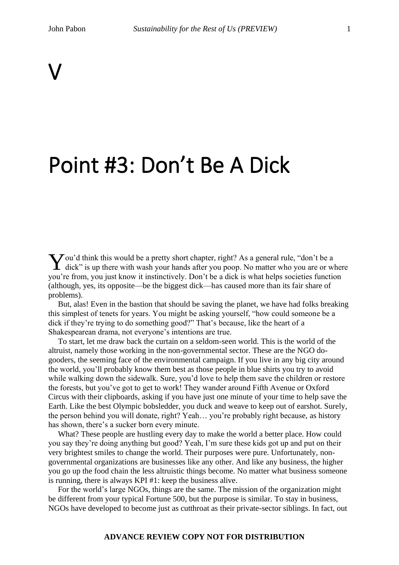# V

## Point #3: Don't Be A Dick

ou'd think this would be a pretty short chapter, right? As a general rule, "don't be a You'd think this would be a pretty short chapter, right? As a general rule, "don't be a dick" is up there with wash your hands after you poop. No matter who you are or where you're from, you just know it instinctively. Don't be a dick is what helps societies function (although, yes, its opposite—be the biggest dick—has caused more than its fair share of problems).

But, alas! Even in the bastion that should be saving the planet, we have had folks breaking this simplest of tenets for years. You might be asking yourself, "how could someone be a dick if they're trying to do something good?" That's because, like the heart of a Shakespearean drama, not everyone's intentions are true.

To start, let me draw back the curtain on a seldom-seen world. This is the world of the altruist, namely those working in the non-governmental sector. These are the NGO dogooders, the seeming face of the environmental campaign. If you live in any big city around the world, you'll probably know them best as those people in blue shirts you try to avoid while walking down the sidewalk. Sure, you'd love to help them save the children or restore the forests, but you've got to get to work! They wander around Fifth Avenue or Oxford Circus with their clipboards, asking if you have just one minute of your time to help save the Earth. Like the best Olympic bobsledder, you duck and weave to keep out of earshot. Surely, the person behind you will donate, right? Yeah… you're probably right because, as history has shown, there's a sucker born every minute.

What? These people are hustling every day to make the world a better place. How could you say they're doing anything but good? Yeah, I'm sure these kids got up and put on their very brightest smiles to change the world. Their purposes were pure. Unfortunately, nongovernmental organizations are businesses like any other. And like any business, the higher you go up the food chain the less altruistic things become. No matter what business someone is running, there is always KPI #1: keep the business alive.

For the world's large NGOs, things are the same. The mission of the organization might be different from your typical Fortune 500, but the purpose is similar. To stay in business, NGOs have developed to become just as cutthroat as their private-sector siblings. In fact, out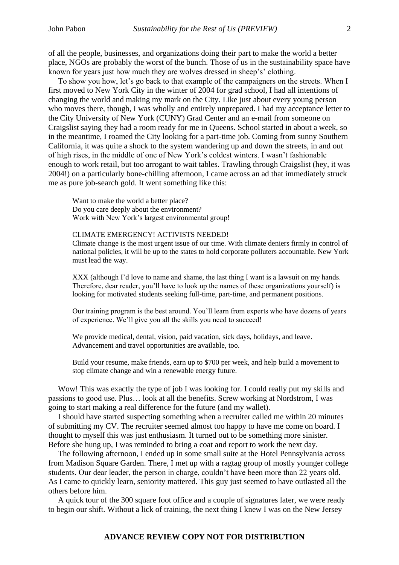of all the people, businesses, and organizations doing their part to make the world a better place, NGOs are probably the worst of the bunch. Those of us in the sustainability space have known for years just how much they are wolves dressed in sheep's' clothing.

To show you how, let's go back to that example of the campaigners on the streets. When I first moved to New York City in the winter of 2004 for grad school, I had all intentions of changing the world and making my mark on the City. Like just about every young person who moves there, though, I was wholly and entirely unprepared. I had my acceptance letter to the City University of New York (CUNY) Grad Center and an e-mail from someone on Craigslist saying they had a room ready for me in Queens. School started in about a week, so in the meantime, I roamed the City looking for a part-time job. Coming from sunny Southern California, it was quite a shock to the system wandering up and down the streets, in and out of high rises, in the middle of one of New York's coldest winters. I wasn't fashionable enough to work retail, but too arrogant to wait tables. Trawling through Craigslist (hey, it was 2004!) on a particularly bone-chilling afternoon, I came across an ad that immediately struck me as pure job-search gold. It went something like this:

Want to make the world a better place? Do you care deeply about the environment? Work with New York's largest environmental group!

#### CLIMATE EMERGENCY! ACTIVISTS NEEDED!

Climate change is the most urgent issue of our time. With climate deniers firmly in control of national policies, it will be up to the states to hold corporate polluters accountable. New York must lead the way.

XXX (although I'd love to name and shame, the last thing I want is a lawsuit on my hands. Therefore, dear reader, you'll have to look up the names of these organizations yourself) is looking for motivated students seeking full-time, part-time, and permanent positions.

Our training program is the best around. You'll learn from experts who have dozens of years of experience. We'll give you all the skills you need to succeed!

We provide medical, dental, vision, paid vacation, sick days, holidays, and leave. Advancement and travel opportunities are available, too.

Build your resume, make friends, earn up to \$700 per week, and help build a movement to stop climate change and win a renewable energy future.

Wow! This was exactly the type of job I was looking for. I could really put my skills and passions to good use. Plus… look at all the benefits. Screw working at Nordstrom, I was going to start making a real difference for the future (and my wallet).

I should have started suspecting something when a recruiter called me within 20 minutes of submitting my CV. The recruiter seemed almost too happy to have me come on board. I thought to myself this was just enthusiasm. It turned out to be something more sinister. Before she hung up, I was reminded to bring a coat and report to work the next day.

The following afternoon, I ended up in some small suite at the Hotel Pennsylvania across from Madison Square Garden. There, I met up with a ragtag group of mostly younger college students. Our dear leader, the person in charge, couldn't have been more than 22 years old. As I came to quickly learn, seniority mattered. This guy just seemed to have outlasted all the others before him.

A quick tour of the 300 square foot office and a couple of signatures later, we were ready to begin our shift. Without a lick of training, the next thing I knew I was on the New Jersey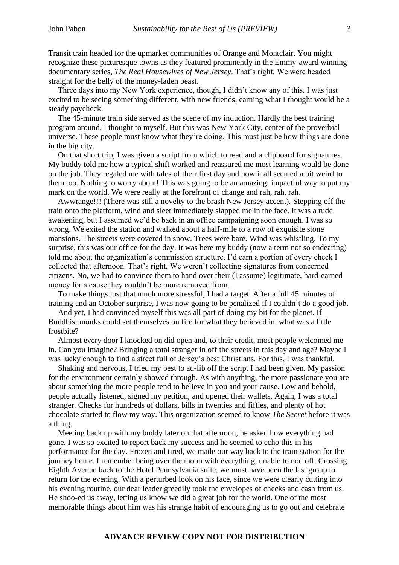Transit train headed for the upmarket communities of Orange and Montclair. You might recognize these picturesque towns as they featured prominently in the Emmy-award winning documentary series, *The Real Housewives of New Jersey*. That's right. We were headed straight for the belly of the money-laden beast.

Three days into my New York experience, though, I didn't know any of this. I was just excited to be seeing something different, with new friends, earning what I thought would be a steady paycheck.

The 45-minute train side served as the scene of my induction. Hardly the best training program around, I thought to myself. But this was New York City, center of the proverbial universe. These people must know what they're doing. This must just be how things are done in the big city.

On that short trip, I was given a script from which to read and a clipboard for signatures. My buddy told me how a typical shift worked and reassured me most learning would be done on the job. They regaled me with tales of their first day and how it all seemed a bit weird to them too. Nothing to worry about! This was going to be an amazing, impactful way to put my mark on the world. We were really at the forefront of change and rah, rah, rah.

Awwrange!!! (There was still a novelty to the brash New Jersey accent). Stepping off the train onto the platform, wind and sleet immediately slapped me in the face. It was a rude awakening, but I assumed we'd be back in an office campaigning soon enough. I was so wrong. We exited the station and walked about a half-mile to a row of exquisite stone mansions. The streets were covered in snow. Trees were bare. Wind was whistling. To my surprise, this was our office for the day. It was here my buddy (now a term not so endearing) told me about the organization's commission structure. I'd earn a portion of every check I collected that afternoon. That's right. We weren't collecting signatures from concerned citizens. No, we had to convince them to hand over their (I assume) legitimate, hard-earned money for a cause they couldn't be more removed from.

To make things just that much more stressful, I had a target. After a full 45 minutes of training and an October surprise, I was now going to be penalized if I couldn't do a good job.

And yet, I had convinced myself this was all part of doing my bit for the planet. If Buddhist monks could set themselves on fire for what they believed in, what was a little frostbite?

Almost every door I knocked on did open and, to their credit, most people welcomed me in. Can you imagine? Bringing a total stranger in off the streets in this day and age? Maybe I was lucky enough to find a street full of Jersey's best Christians. For this, I was thankful.

Shaking and nervous, I tried my best to ad-lib off the script I had been given. My passion for the environment certainly showed through. As with anything, the more passionate you are about something the more people tend to believe in you and your cause. Low and behold, people actually listened, signed my petition, and opened their wallets. Again, I was a total stranger. Checks for hundreds of dollars, bills in twenties and fifties, and plenty of hot chocolate started to flow my way. This organization seemed to know *The Secret* before it was a thing.

Meeting back up with my buddy later on that afternoon, he asked how everything had gone. I was so excited to report back my success and he seemed to echo this in his performance for the day. Frozen and tired, we made our way back to the train station for the journey home. I remember being over the moon with everything, unable to nod off. Crossing Eighth Avenue back to the Hotel Pennsylvania suite, we must have been the last group to return for the evening. With a perturbed look on his face, since we were clearly cutting into his evening routine, our dear leader greedily took the envelopes of checks and cash from us. He shoo-ed us away, letting us know we did a great job for the world. One of the most memorable things about him was his strange habit of encouraging us to go out and celebrate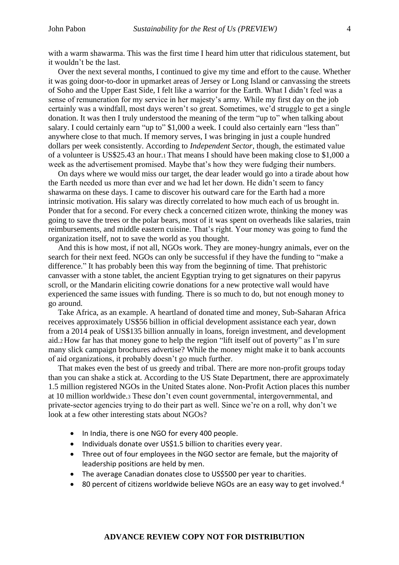with a warm shawarma. This was the first time I heard him utter that ridiculous statement, but it wouldn't be the last.

Over the next several months, I continued to give my time and effort to the cause. Whether it was going door-to-door in upmarket areas of Jersey or Long Island or canvassing the streets of Soho and the Upper East Side, I felt like a warrior for the Earth. What I didn't feel was a sense of remuneration for my service in her majesty's army. While my first day on the job certainly was a windfall, most days weren't so great. Sometimes, we'd struggle to get a single donation. It was then I truly understood the meaning of the term "up to" when talking about salary. I could certainly earn "up to" \$1,000 a week. I could also certainly earn "less than" anywhere close to that much. If memory serves, I was bringing in just a couple hundred dollars per week consistently. According to *Independent Sector*, though, the estimated value of a volunteer is US\$25.43 an hour.<sup>1</sup> That means I should have been making close to \$1,000 a week as the advertisement promised. Maybe that's how they were fudging their numbers.

On days where we would miss our target, the dear leader would go into a tirade about how the Earth needed us more than ever and we had let her down. He didn't seem to fancy shawarma on these days. I came to discover his outward care for the Earth had a more intrinsic motivation. His salary was directly correlated to how much each of us brought in. Ponder that for a second. For every check a concerned citizen wrote, thinking the money was going to save the trees or the polar bears, most of it was spent on overheads like salaries, train reimbursements, and middle eastern cuisine. That's right. Your money was going to fund the organization itself, not to save the world as you thought.

And this is how most, if not all, NGOs work. They are money-hungry animals, ever on the search for their next feed. NGOs can only be successful if they have the funding to "make a difference." It has probably been this way from the beginning of time. That prehistoric canvasser with a stone tablet, the ancient Egyptian trying to get signatures on their papyrus scroll, or the Mandarin eliciting cowrie donations for a new protective wall would have experienced the same issues with funding. There is so much to do, but not enough money to go around.

Take Africa, as an example. A heartland of donated time and money, Sub-Saharan Africa receives approximately US\$56 billion in official development assistance each year, down from a 2014 peak of US\$135 billion annually in loans, foreign investment, and development aid.<sup>2</sup> How far has that money gone to help the region "lift itself out of poverty" as I'm sure many slick campaign brochures advertise? While the money might make it to bank accounts of aid organizations, it probably doesn't go much further.

That makes even the best of us greedy and tribal. There are more non-profit groups today than you can shake a stick at. According to the US State Department, there are approximately 1.5 million registered NGOs in the United States alone. Non-Profit Action places this number at 10 million worldwide.<sup>3</sup> These don't even count governmental, intergovernmental, and private-sector agencies trying to do their part as well. Since we're on a roll, why don't we look at a few other interesting stats about NGOs?

- In India, there is one NGO for every 400 people.
- Individuals donate over US\$1.5 billion to charities every year.
- Three out of four employees in the NGO sector are female, but the majority of leadership positions are held by men.
- The average Canadian donates close to US\$500 per year to charities.
- 80 percent of citizens worldwide believe NGOs are an easy way to get involved.<sup>4</sup>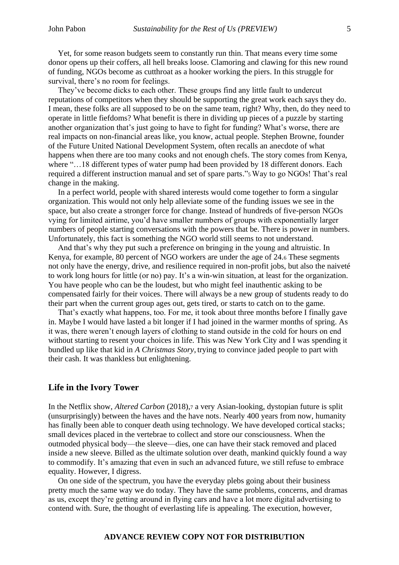Yet, for some reason budgets seem to constantly run thin. That means every time some donor opens up their coffers, all hell breaks loose. Clamoring and clawing for this new round of funding, NGOs become as cutthroat as a hooker working the piers. In this struggle for survival, there's no room for feelings.

They've become dicks to each other. These groups find any little fault to undercut reputations of competitors when they should be supporting the great work each says they do. I mean, these folks are all supposed to be on the same team, right? Why, then, do they need to operate in little fiefdoms? What benefit is there in dividing up pieces of a puzzle by starting another organization that's just going to have to fight for funding? What's worse, there are real impacts on non-financial areas like, you know, actual people. Stephen Browne, founder of the Future United National Development System, often recalls an anecdote of what happens when there are too many cooks and not enough chefs. The story comes from Kenya, where "...18 different types of water pump had been provided by 18 different donors. Each required a different instruction manual and set of spare parts."<sup>5</sup> Way to go NGOs! That's real change in the making.

In a perfect world, people with shared interests would come together to form a singular organization. This would not only help alleviate some of the funding issues we see in the space, but also create a stronger force for change. Instead of hundreds of five-person NGOs vying for limited airtime, you'd have smaller numbers of groups with exponentially larger numbers of people starting conversations with the powers that be. There is power in numbers. Unfortunately, this fact is something the NGO world still seems to not understand.

And that's why they put such a preference on bringing in the young and altruistic. In Kenya, for example, 80 percent of NGO workers are under the age of 24.<sup>6</sup> These segments not only have the energy, drive, and resilience required in non-profit jobs, but also the naiveté to work long hours for little (or no) pay. It's a win-win situation, at least for the organization. You have people who can be the loudest, but who might feel inauthentic asking to be compensated fairly for their voices. There will always be a new group of students ready to do their part when the current group ages out, gets tired, or starts to catch on to the game.

That's exactly what happens, too. For me, it took about three months before I finally gave in. Maybe I would have lasted a bit longer if I had joined in the warmer months of spring. As it was, there weren't enough layers of clothing to stand outside in the cold for hours on end without starting to resent your choices in life. This was New York City and I was spending it bundled up like that kid in *A Christmas Story*, trying to convince jaded people to part with their cash. It was thankless but enlightening.

#### **Life in the Ivory Tower**

In the Netflix show, *Altered Carbon* (2018), *a* very Asian-looking, dystopian future is split (unsurprisingly) between the haves and the have nots. Nearly 400 years from now, humanity has finally been able to conquer death using technology. We have developed cortical stacks; small devices placed in the vertebrae to collect and store our consciousness. When the outmoded physical body—the sleeve—dies, one can have their stack removed and placed inside a new sleeve. Billed as the ultimate solution over death, mankind quickly found a way to commodify. It's amazing that even in such an advanced future, we still refuse to embrace equality. However, I digress.

On one side of the spectrum, you have the everyday plebs going about their business pretty much the same way we do today. They have the same problems, concerns, and dramas as us, except they're getting around in flying cars and have a lot more digital advertising to contend with. Sure, the thought of everlasting life is appealing. The execution, however,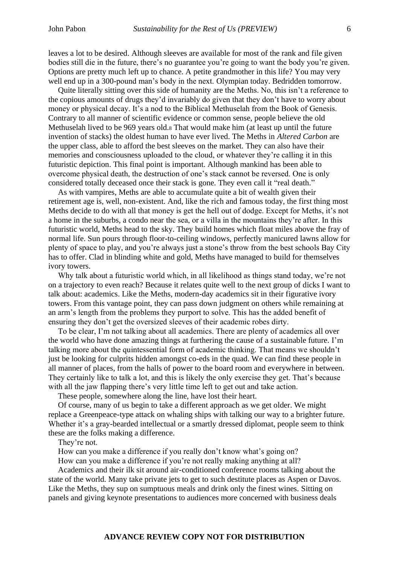leaves a lot to be desired. Although sleeves are available for most of the rank and file given bodies still die in the future, there's no guarantee you're going to want the body you're given. Options are pretty much left up to chance. A petite grandmother in this life? You may very well end up in a 300-pound man's body in the next. Olympian today. Bedridden tomorrow.

Quite literally sitting over this side of humanity are the Meths. No, this isn't a reference to the copious amounts of drugs they'd invariably do given that they don't have to worry about money or physical decay. It's a nod to the Biblical Methuselah from the Book of Genesis. Contrary to all manner of scientific evidence or common sense, people believe the old Methuselah lived to be 969 years old.<sup>8</sup> That would make him (at least up until the future invention of stacks) the oldest human to have ever lived. The Meths in *Altered Carbon* are the upper class, able to afford the best sleeves on the market. They can also have their memories and consciousness uploaded to the cloud, or whatever they're calling it in this futuristic depiction. This final point is important. Although mankind has been able to overcome physical death, the destruction of one's stack cannot be reversed. One is only considered totally deceased once their stack is gone. They even call it "real death."

As with vampires, Meths are able to accumulate quite a bit of wealth given their retirement age is, well, non-existent. And, like the rich and famous today, the first thing most Meths decide to do with all that money is get the hell out of dodge. Except for Meths, it's not a home in the suburbs, a condo near the sea, or a villa in the mountains they're after. In this futuristic world, Meths head to the sky. They build homes which float miles above the fray of normal life. Sun pours through floor-to-ceiling windows, perfectly manicured lawns allow for plenty of space to play, and you're always just a stone's throw from the best schools Bay City has to offer. Clad in blinding white and gold, Meths have managed to build for themselves ivory towers.

Why talk about a futuristic world which, in all likelihood as things stand today, we're not on a trajectory to even reach? Because it relates quite well to the next group of dicks I want to talk about: academics. Like the Meths, modern-day academics sit in their figurative ivory towers. From this vantage point, they can pass down judgment on others while remaining at an arm's length from the problems they purport to solve. This has the added benefit of ensuring they don't get the oversized sleeves of their academic robes dirty.

To be clear, I'm not talking about all academics. There are plenty of academics all over the world who have done amazing things at furthering the cause of a sustainable future. I'm talking more about the quintessential form of academic thinking. That means we shouldn't just be looking for culprits hidden amongst co-eds in the quad. We can find these people in all manner of places, from the halls of power to the board room and everywhere in between. They certainly like to talk a lot, and this is likely the only exercise they get. That's because with all the jaw flapping there's very little time left to get out and take action.

These people, somewhere along the line, have lost their heart.

Of course, many of us begin to take a different approach as we get older. We might replace a Greenpeace-type attack on whaling ships with talking our way to a brighter future. Whether it's a gray-bearded intellectual or a smartly dressed diplomat, people seem to think these are the folks making a difference.

They're not.

How can you make a difference if you really don't know what's going on?

How can you make a difference if you're not really making anything at all?

Academics and their ilk sit around air-conditioned conference rooms talking about the state of the world. Many take private jets to get to such destitute places as Aspen or Davos. Like the Meths, they sup on sumptuous meals and drink only the finest wines. Sitting on panels and giving keynote presentations to audiences more concerned with business deals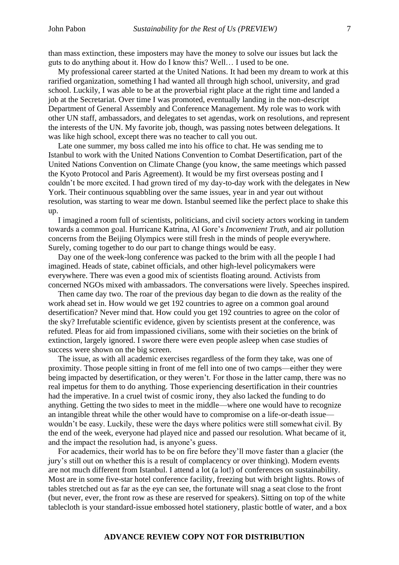than mass extinction, these imposters may have the money to solve our issues but lack the guts to do anything about it. How do I know this? Well… I used to be one.

My professional career started at the United Nations. It had been my dream to work at this rarified organization, something I had wanted all through high school, university, and grad school. Luckily, I was able to be at the proverbial right place at the right time and landed a job at the Secretariat. Over time I was promoted, eventually landing in the non-descript Department of General Assembly and Conference Management. My role was to work with other UN staff, ambassadors, and delegates to set agendas, work on resolutions, and represent the interests of the UN. My favorite job, though, was passing notes between delegations. It was like high school, except there was no teacher to call you out.

Late one summer, my boss called me into his office to chat. He was sending me to Istanbul to work with the United Nations Convention to Combat Desertification, part of the United Nations Convention on Climate Change (you know, the same meetings which passed the Kyoto Protocol and Paris Agreement). It would be my first overseas posting and I couldn't be more excited. I had grown tired of my day-to-day work with the delegates in New York. Their continuous squabbling over the same issues, year in and year out without resolution, was starting to wear me down. Istanbul seemed like the perfect place to shake this up.

I imagined a room full of scientists, politicians, and civil society actors working in tandem towards a common goal. Hurricane Katrina, Al Gore's *Inconvenient Truth*, and air pollution concerns from the Beijing Olympics were still fresh in the minds of people everywhere. Surely, coming together to do our part to change things would be easy.

Day one of the week-long conference was packed to the brim with all the people I had imagined. Heads of state, cabinet officials, and other high-level policymakers were everywhere. There was even a good mix of scientists floating around. Activists from concerned NGOs mixed with ambassadors. The conversations were lively. Speeches inspired.

Then came day two. The roar of the previous day began to die down as the reality of the work ahead set in. How would we get 192 countries to agree on a common goal around desertification? Never mind that. How could you get 192 countries to agree on the color of the sky? Irrefutable scientific evidence, given by scientists present at the conference, was refuted. Pleas for aid from impassioned civilians, some with their societies on the brink of extinction, largely ignored. I swore there were even people asleep when case studies of success were shown on the big screen.

The issue, as with all academic exercises regardless of the form they take, was one of proximity. Those people sitting in front of me fell into one of two camps—either they were being impacted by desertification, or they weren't. For those in the latter camp, there was no real impetus for them to do anything. Those experiencing desertification in their countries had the imperative. In a cruel twist of cosmic irony, they also lacked the funding to do anything. Getting the two sides to meet in the middle—where one would have to recognize an intangible threat while the other would have to compromise on a life-or-death issue wouldn't be easy. Luckily, these were the days where politics were still somewhat civil. By the end of the week, everyone had played nice and passed our resolution. What became of it, and the impact the resolution had, is anyone's guess.

For academics, their world has to be on fire before they'll move faster than a glacier (the jury's still out on whether this is a result of complacency or over thinking). Modern events are not much different from Istanbul. I attend a lot (a lot!) of conferences on sustainability. Most are in some five-star hotel conference facility, freezing but with bright lights. Rows of tables stretched out as far as the eye can see, the fortunate will snag a seat close to the front (but never, ever, the front row as these are reserved for speakers). Sitting on top of the white tablecloth is your standard-issue embossed hotel stationery, plastic bottle of water, and a box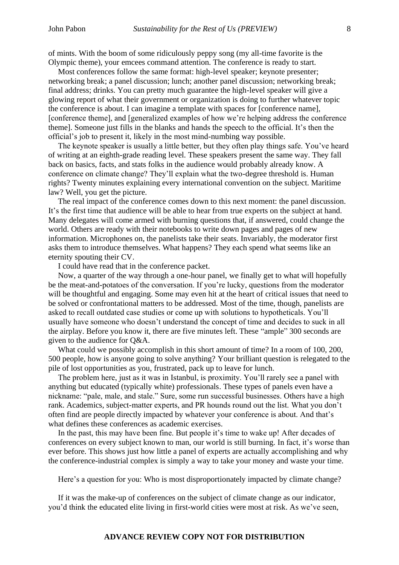of mints. With the boom of some ridiculously peppy song (my all-time favorite is the Olympic theme), your emcees command attention. The conference is ready to start.

Most conferences follow the same format: high-level speaker; keynote presenter; networking break; a panel discussion; lunch; another panel discussion; networking break; final address; drinks. You can pretty much guarantee the high-level speaker will give a glowing report of what their government or organization is doing to further whatever topic the conference is about. I can imagine a template with spaces for [conference name], [conference theme], and [generalized examples of how we're helping address the conference theme]. Someone just fills in the blanks and hands the speech to the official. It's then the official's job to present it, likely in the most mind-numbing way possible.

The keynote speaker is usually a little better, but they often play things safe. You've heard of writing at an eighth-grade reading level. These speakers present the same way. They fall back on basics, facts, and stats folks in the audience would probably already know. A conference on climate change? They'll explain what the two-degree threshold is. Human rights? Twenty minutes explaining every international convention on the subject. Maritime law? Well, you get the picture.

The real impact of the conference comes down to this next moment: the panel discussion. It's the first time that audience will be able to hear from true experts on the subject at hand. Many delegates will come armed with burning questions that, if answered, could change the world. Others are ready with their notebooks to write down pages and pages of new information. Microphones on, the panelists take their seats. Invariably, the moderator first asks them to introduce themselves. What happens? They each spend what seems like an eternity spouting their CV.

I could have read that in the conference packet.

Now, a quarter of the way through a one-hour panel, we finally get to what will hopefully be the meat-and-potatoes of the conversation. If you're lucky, questions from the moderator will be thoughtful and engaging. Some may even hit at the heart of critical issues that need to be solved or confrontational matters to be addressed. Most of the time, though, panelists are asked to recall outdated case studies or come up with solutions to hypotheticals. You'll usually have someone who doesn't understand the concept of time and decides to suck in all the airplay. Before you know it, there are five minutes left. These "ample" 300 seconds are given to the audience for Q&A.

What could we possibly accomplish in this short amount of time? In a room of 100, 200, 500 people, how is anyone going to solve anything? Your brilliant question is relegated to the pile of lost opportunities as you, frustrated, pack up to leave for lunch.

The problem here, just as it was in Istanbul, is proximity. You'll rarely see a panel with anything but educated (typically white) professionals. These types of panels even have a nickname: "pale, male, and stale." Sure, some run successful businesses. Others have a high rank. Academics, subject-matter experts, and PR hounds round out the list. What you don't often find are people directly impacted by whatever your conference is about. And that's what defines these conferences as academic exercises.

In the past, this may have been fine. But people it's time to wake up! After decades of conferences on every subject known to man, our world is still burning. In fact, it's worse than ever before. This shows just how little a panel of experts are actually accomplishing and why the conference-industrial complex is simply a way to take your money and waste your time.

Here's a question for you: Who is most disproportionately impacted by climate change?

If it was the make-up of conferences on the subject of climate change as our indicator, you'd think the educated elite living in first-world cities were most at risk. As we've seen,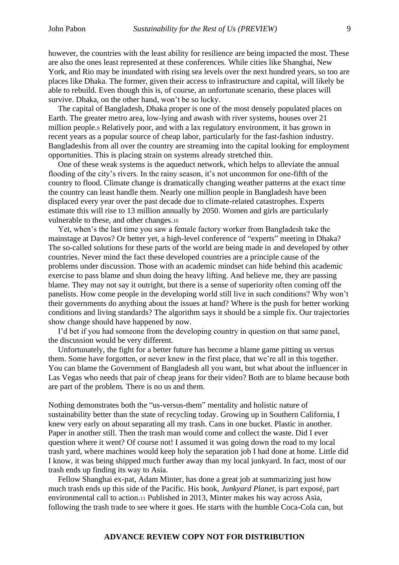however, the countries with the least ability for resilience are being impacted the most. These are also the ones least represented at these conferences. While cities like Shanghai, New York, and Rio may be inundated with rising sea levels over the next hundred years, so too are places like Dhaka. The former, given their access to infrastructure and capital, will likely be able to rebuild. Even though this is, of course, an unfortunate scenario, these places will survive. Dhaka, on the other hand, won't be so lucky.

The capital of Bangladesh, Dhaka proper is one of the most densely populated places on Earth. The greater metro area, low-lying and awash with river systems, houses over 21 million people.<sup>9</sup> Relatively poor, and with a lax regulatory environment, it has grown in recent years as a popular source of cheap labor, particularly for the fast-fashion industry. Bangladeshis from all over the country are streaming into the capital looking for employment opportunities. This is placing strain on systems already stretched thin.

One of these weak systems is the aqueduct network, which helps to alleviate the annual flooding of the city's rivers. In the rainy season, it's not uncommon for one-fifth of the country to flood. Climate change is dramatically changing weather patterns at the exact time the country can least handle them. Nearly one million people in Bangladesh have been displaced every year over the past decade due to climate-related catastrophes. Experts estimate this will rise to 13 million annually by 2050. Women and girls are particularly vulnerable to these, and other changes.<sup>10</sup>

Yet, when's the last time you saw a female factory worker from Bangladesh take the mainstage at Davos? Or better yet, a high-level conference of "experts" meeting in Dhaka? The so-called solutions for these parts of the world are being made in and developed by other countries. Never mind the fact these developed countries are a principle cause of the problems under discussion. Those with an academic mindset can hide behind this academic exercise to pass blame and shun doing the heavy lifting. And believe me, they are passing blame. They may not say it outright, but there is a sense of superiority often coming off the panelists. How come people in the developing world still live in such conditions? Why won't their governments do anything about the issues at hand? Where is the push for better working conditions and living standards? The algorithm says it should be a simple fix. Our trajectories show change should have happened by now.

I'd bet if you had someone from the developing country in question on that same panel, the discussion would be very different.

Unfortunately, the fight for a better future has become a blame game pitting us versus them. Some have forgotten, or never knew in the first place, that we're all in this together. You can blame the Government of Bangladesh all you want, but what about the influencer in Las Vegas who needs that pair of cheap jeans for their video? Both are to blame because both are part of the problem. There is no us and them.

Nothing demonstrates both the "us-versus-them" mentality and holistic nature of sustainability better than the state of recycling today. Growing up in Southern California, I knew very early on about separating all my trash. Cans in one bucket. Plastic in another. Paper in another still. Then the trash man would come and collect the waste. Did I ever question where it went? Of course not! I assumed it was going down the road to my local trash yard, where machines would keep holy the separation job I had done at home. Little did I know, it was being shipped much further away than my local junkyard. In fact, most of our trash ends up finding its way to Asia.

Fellow Shanghai ex-pat, Adam Minter, has done a great job at summarizing just how much trash ends up this side of the Pacific. His book, *Junkyard Planet*, is part exposé, part environmental call to action.<sup>11</sup> Published in 2013, Minter makes his way across Asia, following the trash trade to see where it goes. He starts with the humble Coca-Cola can, but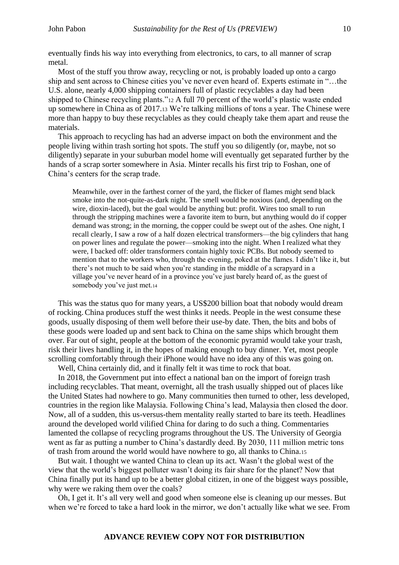eventually finds his way into everything from electronics, to cars, to all manner of scrap metal.

Most of the stuff you throw away, recycling or not, is probably loaded up onto a cargo ship and sent across to Chinese cities you've never even heard of. Experts estimate in "…the U.S. alone, nearly 4,000 shipping containers full of plastic recyclables a day had been shipped to Chinese recycling plants."<sup>12</sup> A full 70 percent of the world's plastic waste ended up somewhere in China as of 2017.<sup>13</sup> We're talking millions of tons a year. The Chinese were more than happy to buy these recyclables as they could cheaply take them apart and reuse the materials.

This approach to recycling has had an adverse impact on both the environment and the people living within trash sorting hot spots. The stuff you so diligently (or, maybe, not so diligently) separate in your suburban model home will eventually get separated further by the hands of a scrap sorter somewhere in Asia. Minter recalls his first trip to Foshan, one of China's centers for the scrap trade.

Meanwhile, over in the farthest corner of the yard, the flicker of flames might send black smoke into the not-quite-as-dark night. The smell would be noxious (and, depending on the wire, dioxin-laced), but the goal would be anything but: profit. Wires too small to run through the stripping machines were a favorite item to burn, but anything would do if copper demand was strong; in the morning, the copper could be swept out of the ashes. One night, I recall clearly, I saw a row of a half dozen electrical transformers—the big cylinders that hang on power lines and regulate the power—smoking into the night. When I realized what they were, I backed off: older transformers contain highly toxic PCBs. But nobody seemed to mention that to the workers who, through the evening, poked at the flames. I didn't like it, but there's not much to be said when you're standing in the middle of a scrapyard in a village you've never heard of in a province you've just barely heard of, as the guest of somebody you've just met.<sup>14</sup>

This was the status quo for many years, a US\$200 billion boat that nobody would dream of rocking. China produces stuff the west thinks it needs. People in the west consume these goods, usually disposing of them well before their use-by date. Then, the bits and bobs of these goods were loaded up and sent back to China on the same ships which brought them over. Far out of sight, people at the bottom of the economic pyramid would take your trash, risk their lives handling it, in the hopes of making enough to buy dinner. Yet, most people scrolling comfortably through their iPhone would have no idea any of this was going on.

Well, China certainly did, and it finally felt it was time to rock that boat.

In 2018, the Government put into effect a national ban on the import of foreign trash including recyclables. That meant, overnight, all the trash usually shipped out of places like the United States had nowhere to go. Many communities then turned to other, less developed, countries in the region like Malaysia. Following China's lead, Malaysia then closed the door. Now, all of a sudden, this us-versus-them mentality really started to bare its teeth. Headlines around the developed world vilified China for daring to do such a thing. Commentaries lamented the collapse of recycling programs throughout the US. The University of Georgia went as far as putting a number to China's dastardly deed. By 2030, 111 million metric tons of trash from around the world would have nowhere to go, all thanks to China.<sup>15</sup>

But wait. I thought we wanted China to clean up its act. Wasn't the global west of the view that the world's biggest polluter wasn't doing its fair share for the planet? Now that China finally put its hand up to be a better global citizen, in one of the biggest ways possible, why were we raking them over the coals?

Oh, I get it. It's all very well and good when someone else is cleaning up our messes. But when we're forced to take a hard look in the mirror, we don't actually like what we see. From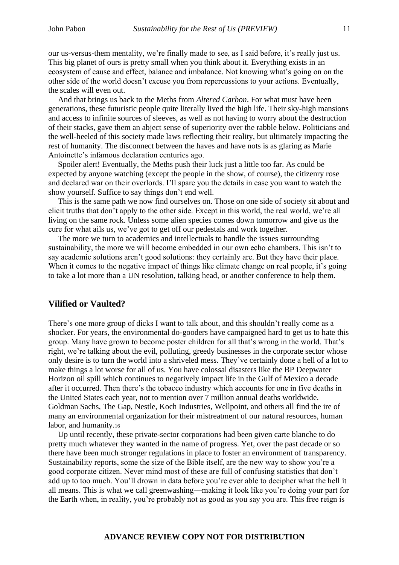our us-versus-them mentality, we're finally made to see, as I said before, it's really just us. This big planet of ours is pretty small when you think about it. Everything exists in an ecosystem of cause and effect, balance and imbalance. Not knowing what's going on on the other side of the world doesn't excuse you from repercussions to your actions. Eventually, the scales will even out.

And that brings us back to the Meths from *Altered Carbon*. For what must have been generations, these futuristic people quite literally lived the high life. Their sky-high mansions and access to infinite sources of sleeves, as well as not having to worry about the destruction of their stacks, gave them an abject sense of superiority over the rabble below. Politicians and the well-heeled of this society made laws reflecting their reality, but ultimately impacting the rest of humanity. The disconnect between the haves and have nots is as glaring as Marie Antoinette's infamous declaration centuries ago.

Spoiler alert! Eventually, the Meths push their luck just a little too far. As could be expected by anyone watching (except the people in the show, of course), the citizenry rose and declared war on their overlords. I'll spare you the details in case you want to watch the show yourself. Suffice to say things don't end well.

This is the same path we now find ourselves on. Those on one side of society sit about and elicit truths that don't apply to the other side. Except in this world, the real world, we're all living on the same rock. Unless some alien species comes down tomorrow and give us the cure for what ails us, we've got to get off our pedestals and work together.

The more we turn to academics and intellectuals to handle the issues surrounding sustainability, the more we will become embedded in our own echo chambers. This isn't to say academic solutions aren't good solutions: they certainly are. But they have their place. When it comes to the negative impact of things like climate change on real people, it's going to take a lot more than a UN resolution, talking head, or another conference to help them.

## **Vilified or Vaulted?**

There's one more group of dicks I want to talk about, and this shouldn't really come as a shocker. For years, the environmental do-gooders have campaigned hard to get us to hate this group. Many have grown to become poster children for all that's wrong in the world. That's right, we're talking about the evil, polluting, greedy businesses in the corporate sector whose only desire is to turn the world into a shriveled mess. They've certainly done a hell of a lot to make things a lot worse for all of us. You have colossal disasters like the BP Deepwater Horizon oil spill which continues to negatively impact life in the Gulf of Mexico a decade after it occurred. Then there's the tobacco industry which accounts for one in five deaths in the United States each year, not to mention over 7 million annual deaths worldwide. Goldman Sachs, The Gap, Nestle, Koch Industries, Wellpoint, and others all find the ire of many an environmental organization for their mistreatment of our natural resources, human labor, and humanity.<sup>16</sup>

Up until recently, these private-sector corporations had been given carte blanche to do pretty much whatever they wanted in the name of progress. Yet, over the past decade or so there have been much stronger regulations in place to foster an environment of transparency. Sustainability reports, some the size of the Bible itself, are the new way to show you're a good corporate citizen. Never mind most of these are full of confusing statistics that don't add up to too much. You'll drown in data before you're ever able to decipher what the hell it all means. This is what we call greenwashing—making it look like you're doing your part for the Earth when, in reality, you're probably not as good as you say you are. This free reign is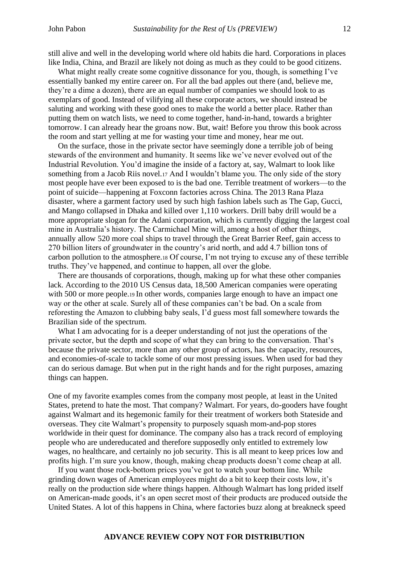still alive and well in the developing world where old habits die hard. Corporations in places like India, China, and Brazil are likely not doing as much as they could to be good citizens.

What might really create some cognitive dissonance for you, though, is something I've essentially banked my entire career on. For all the bad apples out there (and, believe me, they're a dime a dozen), there are an equal number of companies we should look to as exemplars of good. Instead of vilifying all these corporate actors, we should instead be saluting and working with these good ones to make the world a better place. Rather than putting them on watch lists, we need to come together, hand-in-hand, towards a brighter tomorrow. I can already hear the groans now. But, wait! Before you throw this book across the room and start yelling at me for wasting your time and money, hear me out.

On the surface, those in the private sector have seemingly done a terrible job of being stewards of the environment and humanity. It seems like we've never evolved out of the Industrial Revolution. You'd imagine the inside of a factory at, say, Walmart to look like something from a Jacob Riis novel.<sup>17</sup> And I wouldn't blame you. The only side of the story most people have ever been exposed to is the bad one. Terrible treatment of workers—to the point of suicide—happening at Foxconn factories across China. The 2013 Rana Plaza disaster, where a garment factory used by such high fashion labels such as The Gap, Gucci, and Mango collapsed in Dhaka and killed over 1,110 workers. Drill baby drill would be a more appropriate slogan for the Adani corporation, which is currently digging the largest coal mine in Australia's history. The Carmichael Mine will, among a host of other things, annually allow 520 more coal ships to travel through the Great Barrier Reef, gain access to 270 billion liters of groundwater in the country's arid north, and add 4.7 billion tons of carbon pollution to the atmosphere.<sup>18</sup> Of course, I'm not trying to excuse any of these terrible truths. They've happened, and continue to happen, all over the globe.

There are thousands of corporations, though, making up for what these other companies lack. According to the 2010 US Census data, 18,500 American companies were operating with 500 or more people.<sup>19</sup> In other words, companies large enough to have an impact one way or the other at scale. Surely all of these companies can't be bad. On a scale from reforesting the Amazon to clubbing baby seals, I'd guess most fall somewhere towards the Brazilian side of the spectrum.

What I am advocating for is a deeper understanding of not just the operations of the private sector, but the depth and scope of what they can bring to the conversation. That's because the private sector, more than any other group of actors, has the capacity, resources, and economies-of-scale to tackle some of our most pressing issues. When used for bad they can do serious damage. But when put in the right hands and for the right purposes, amazing things can happen.

One of my favorite examples comes from the company most people, at least in the United States, pretend to hate the most. That company? Walmart. For years, do-gooders have fought against Walmart and its hegemonic family for their treatment of workers both Stateside and overseas. They cite Walmart's propensity to purposely squash mom-and-pop stores worldwide in their quest for dominance. The company also has a track record of employing people who are undereducated and therefore supposedly only entitled to extremely low wages, no healthcare, and certainly no job security. This is all meant to keep prices low and profits high. I'm sure you know, though, making cheap products doesn't come cheap at all.

If you want those rock-bottom prices you've got to watch your bottom line. While grinding down wages of American employees might do a bit to keep their costs low, it's really on the production side where things happen. Although Walmart has long prided itself on American-made goods, it's an open secret most of their products are produced outside the United States. A lot of this happens in China, where factories buzz along at breakneck speed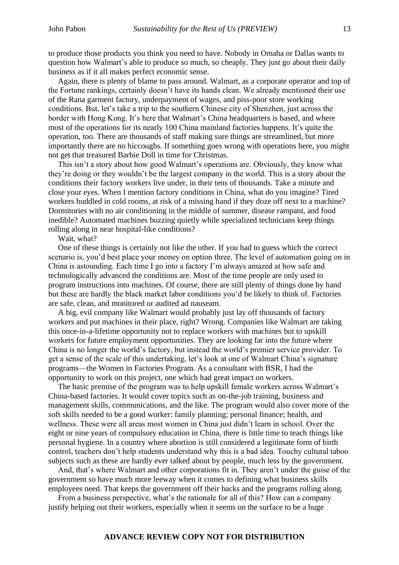to produce those products you think you need to have. Nobody in Omaha or Dallas wants to question how Walmart's able to produce so much, so cheaply. They just go about their daily business as if it all makes perfect economic sense.

Again, there is plenty of blame to pass around. Walmart, as a corporate operator and top of the Fortune rankings, certainly doesn't have its hands clean. We already mentioned their use of the Rana garment factory, underpayment of wages, and piss-poor store working conditions. But, let's take a trip to the southern Chinese city of Shenzhen, just across the border with Hong Kong. It's here that Walmart's China headquarters is based, and where most of the operations for its nearly 100 China mainland factories happens. It's quite the operation, too. There are thousands of staff making sure things are streamlined, but more importantly there are no hiccoughs. If something goes wrong with operations here, you might not get that treasured Barbie Doll in time for Christmas.

This isn't a story about how good Walmart's operations are. Obviously, they know what they're doing or they wouldn't be the largest company in the world. This is a story about the conditions their factory workers live under, in their tens of thousands. Take a minute and close your eyes. When I mention factory conditions in China, what do you imagine? Tired workers huddled in cold rooms, at risk of a missing hand if they doze off next to a machine? Dormitories with no air conditioning in the middle of summer, disease rampant, and food inedible? Automated machines buzzing quietly while specialized technicians keep things rolling along in near hospital-like conditions?

Wait, what?

One of these things is certainly not like the other. If you had to guess which the correct scenario is, you'd best place your money on option three. The level of automation going on in China is astounding. Each time I go into a factory I'm always amazed at how safe and technologically advanced the conditions are. Most of the time people are only used to program instructions into machines. Of course, there are still plenty of things done by hand but these are hardly the black market labor conditions you'd be likely to think of. Factories are safe, clean, and monitored or audited ad nauseam.

A big, evil company like Walmart would probably just lay off thousands of factory workers and put machines in their place, right? Wrong. Companies like Walmart are taking this once-in-a-lifetime opportunity not to replace workers with machines but to upskill workers for future employment opportunities. They are looking far into the future where China is no longer the world's factory, but instead the world's premier service provider. To get a sense of the scale of this undertaking, let's look at one of Walmart China's signature programs—the Women in Factories Program. As a consultant with BSR, I had the opportunity to work on this project, one which had great impact on workers.

The basic premise of the program was to help upskill female workers across Walmart's China-based factories. It would cover topics such as on-the-job training, business and management skills, communications, and the like. The program would also cover more of the soft skills needed to be a good worker: family planning; personal finance; health, and wellness. These were all areas most women in China just didn't learn in school. Over the eight or nine years of compulsory education in China, there is little time to teach things like personal hygiene. In a country where abortion is still considered a legitimate form of birth control, teachers don't help students understand why this is a bad idea. Touchy cultural taboo subjects such as these are hardly ever talked about by people, much less by the government.

And, that's where Walmart and other corporations fit in. They aren't under the guise of the government so have much more leeway when it comes to defining what business skills employees need. That keeps the government off their backs and the programs rolling along.

From a business perspective, what's the rationale for all of this? How can a company justify helping out their workers, especially when it seems on the surface to be a huge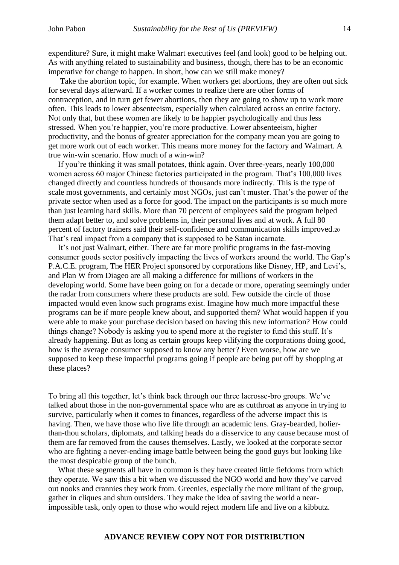expenditure? Sure, it might make Walmart executives feel (and look) good to be helping out. As with anything related to sustainability and business, though, there has to be an economic imperative for change to happen. In short, how can we still make money?

Take the abortion topic, for example. When workers get abortions, they are often out sick for several days afterward. If a worker comes to realize there are other forms of contraception, and in turn get fewer abortions, then they are going to show up to work more often. This leads to lower absenteeism, especially when calculated across an entire factory. Not only that, but these women are likely to be happier psychologically and thus less stressed. When you're happier, you're more productive. Lower absenteeism, higher productivity, and the bonus of greater appreciation for the company mean you are going to get more work out of each worker. This means more money for the factory and Walmart. A true win-win scenario. How much of a win-win?

If you're thinking it was small potatoes, think again. Over three-years, nearly 100,000 women across 60 major Chinese factories participated in the program. That's 100,000 lives changed directly and countless hundreds of thousands more indirectly. This is the type of scale most governments, and certainly most NGOs, just can't muster. That's the power of the private sector when used as a force for good. The impact on the participants is so much more than just learning hard skills. More than 70 percent of employees said the program helped them adapt better to, and solve problems in, their personal lives and at work. A full 80 percent of factory trainers said their self-confidence and communication skills improved.<sup>20</sup> That's real impact from a company that is supposed to be Satan incarnate.

It's not just Walmart, either. There are far more prolific programs in the fast-moving consumer goods sector positively impacting the lives of workers around the world. The Gap's P.A.C.E. program, The HER Project sponsored by corporations like Disney, HP, and Levi's, and Plan W from Diageo are all making a difference for millions of workers in the developing world. Some have been going on for a decade or more, operating seemingly under the radar from consumers where these products are sold. Few outside the circle of those impacted would even know such programs exist. Imagine how much more impactful these programs can be if more people knew about, and supported them? What would happen if you were able to make your purchase decision based on having this new information? How could things change? Nobody is asking you to spend more at the register to fund this stuff. It's already happening. But as long as certain groups keep vilifying the corporations doing good, how is the average consumer supposed to know any better? Even worse, how are we supposed to keep these impactful programs going if people are being put off by shopping at these places?

To bring all this together, let's think back through our three lacrosse-bro groups. We've talked about those in the non-governmental space who are as cutthroat as anyone in trying to survive, particularly when it comes to finances, regardless of the adverse impact this is having. Then, we have those who live life through an academic lens. Gray-bearded, holierthan-thou scholars, diplomats, and talking heads do a disservice to any cause because most of them are far removed from the causes themselves. Lastly, we looked at the corporate sector who are fighting a never-ending image battle between being the good guys but looking like the most despicable group of the bunch.

What these segments all have in common is they have created little fiefdoms from which they operate. We saw this a bit when we discussed the NGO world and how they've carved out nooks and crannies they work from. Greenies, especially the more militant of the group, gather in cliques and shun outsiders. They make the idea of saving the world a nearimpossible task, only open to those who would reject modern life and live on a kibbutz.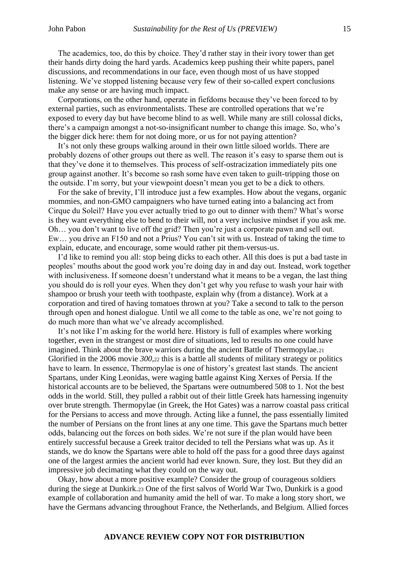The academics, too, do this by choice. They'd rather stay in their ivory tower than get their hands dirty doing the hard yards. Academics keep pushing their white papers, panel discussions, and recommendations in our face, even though most of us have stopped listening. We've stopped listening because very few of their so-called expert conclusions make any sense or are having much impact.

Corporations, on the other hand, operate in fiefdoms because they've been forced to by external parties, such as environmentalists. These are controlled operations that we're exposed to every day but have become blind to as well. While many are still colossal dicks, there's a campaign amongst a not-so-insignificant number to change this image. So, who's the bigger dick here: them for not doing more, or us for not paying attention?

It's not only these groups walking around in their own little siloed worlds. There are probably dozens of other groups out there as well. The reason it's easy to sparse them out is that they've done it to themselves. This process of self-ostracization immediately pits one group against another. It's become so rash some have even taken to guilt-tripping those on the outside. I'm sorry, but your viewpoint doesn't mean you get to be a dick to others.

For the sake of brevity, I'll introduce just a few examples. How about the vegans, organic mommies, and non-GMO campaigners who have turned eating into a balancing act from Cirque du Soleil? Have you ever actually tried to go out to dinner with them? What's worse is they want everything else to bend to their will, not a very inclusive mindset if you ask me. Oh… you don't want to live off the grid? Then you're just a corporate pawn and sell out. Ew… you drive an F150 and not a Prius? You can't sit with us. Instead of taking the time to explain, educate, and encourage, some would rather pit them-versus-us.

I'd like to remind you all: stop being dicks to each other. All this does is put a bad taste in peoples' mouths about the good work you're doing day in and day out. Instead, work together with inclusiveness. If someone doesn't understand what it means to be a vegan, the last thing you should do is roll your eyes. When they don't get why you refuse to wash your hair with shampoo or brush your teeth with toothpaste, explain why (from a distance). Work at a corporation and tired of having tomatoes thrown at you? Take a second to talk to the person through open and honest dialogue. Until we all come to the table as one, we're not going to do much more than what we've already accomplished.

It's not like I'm asking for the world here. History is full of examples where working together, even in the strangest or most dire of situations, led to results no one could have imagined. Think about the brave warriors during the ancient Battle of Thermopylae.<sup>21</sup> Glorified in the 2006 movie *300*,<sup>22</sup> this is a battle all students of military strategy or politics have to learn. In essence, Thermopylae is one of history's greatest last stands. The ancient Spartans, under King Leonidas, were waging battle against King Xerxes of Persia. If the historical accounts are to be believed, the Spartans were outnumbered 508 to 1. Not the best odds in the world. Still, they pulled a rabbit out of their little Greek hats harnessing ingenuity over brute strength. Thermopylae (in Greek, the Hot Gates) was a narrow coastal pass critical for the Persians to access and move through. Acting like a funnel, the pass essentially limited the number of Persians on the front lines at any one time. This gave the Spartans much better odds, balancing out the forces on both sides. We're not sure if the plan would have been entirely successful because a Greek traitor decided to tell the Persians what was up. As it stands, we do know the Spartans were able to hold off the pass for a good three days against one of the largest armies the ancient world had ever known. Sure, they lost. But they did an impressive job decimating what they could on the way out.

Okay, how about a more positive example? Consider the group of courageous soldiers during the siege at Dunkirk.<sup>23</sup> One of the first salvos of World War Two, Dunkirk is a good example of collaboration and humanity amid the hell of war. To make a long story short, we have the Germans advancing throughout France, the Netherlands, and Belgium. Allied forces